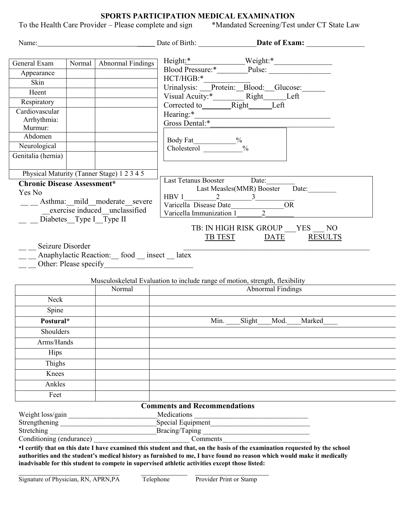**SPORTS PARTICIPATION MEDICAL EXAMINATION**<br>ler – Please complete and sign \*Mandated Screening/Test under CT State Law To the Health Care Provider – Please complete and sign

|                                    |        |                                              | Name: Date of Birth: Date of Birth: Date of Exam:                                                                                                                                                                        |
|------------------------------------|--------|----------------------------------------------|--------------------------------------------------------------------------------------------------------------------------------------------------------------------------------------------------------------------------|
|                                    |        |                                              |                                                                                                                                                                                                                          |
| General Exam                       | Normal | <b>Abnormal Findings</b>                     |                                                                                                                                                                                                                          |
| Appearance<br>Skin                 |        |                                              | HCT/HGB:*                                                                                                                                                                                                                |
| Heent                              |        |                                              | Urinalysis: Protein: Blood: Glucose:                                                                                                                                                                                     |
| Respiratory                        |        |                                              |                                                                                                                                                                                                                          |
| Cardiovascular                     |        |                                              | Corrected to_______Right_____Left                                                                                                                                                                                        |
| Arrhythmia:                        |        |                                              | Hearing:*<br><u> 1989 - Johann Stein, mars an deus Amerikaansk kommunister (</u><br>Gross Dental:*                                                                                                                       |
| Murmur:                            |        |                                              |                                                                                                                                                                                                                          |
| Abdomen                            |        |                                              |                                                                                                                                                                                                                          |
| Neurological                       |        |                                              | Body Fat_________%<br>Cholesterol __________%                                                                                                                                                                            |
| Genitalia (hernia)                 |        |                                              |                                                                                                                                                                                                                          |
|                                    |        | Physical Maturity (Tanner Stage) 1 2 3 4 5   |                                                                                                                                                                                                                          |
| <b>Chronic Disease Assessment*</b> |        |                                              | Last Tetanus Booster Date:                                                                                                                                                                                               |
| Yes No                             |        |                                              | Last Measles(MMR) Booster Date:<br>$HBV1$ 2 3                                                                                                                                                                            |
|                                    |        | __ _ _ Asthma: _ mild moderate severe        | <b>OR</b><br>Varicella Disease Date                                                                                                                                                                                      |
|                                    |        | $exercise$ induced unclassified              | Varicella Immunization $1\_\_\_\_2$                                                                                                                                                                                      |
| Diabetes Type I Type II            |        |                                              |                                                                                                                                                                                                                          |
|                                    |        |                                              | TB: IN HIGH RISK GROUP YES NO<br><b>RESULTS</b><br>TB TEST<br>DATE                                                                                                                                                       |
| Seizure Disorder                   |        |                                              |                                                                                                                                                                                                                          |
|                                    |        | Anaphylactic Reaction: food _ insect _ latex |                                                                                                                                                                                                                          |
|                                    |        | Other: Please specify                        |                                                                                                                                                                                                                          |
|                                    |        |                                              |                                                                                                                                                                                                                          |
|                                    |        |                                              | Musculoskeletal Evaluation to include range of motion, strength, flexibility                                                                                                                                             |
|                                    |        | Normal                                       | <b>Abnormal Findings</b>                                                                                                                                                                                                 |
| Neck                               |        |                                              |                                                                                                                                                                                                                          |
| Spine                              |        |                                              |                                                                                                                                                                                                                          |
| Postural*                          |        |                                              | Min. Slight<br>Mod.<br>Marked                                                                                                                                                                                            |
| Shoulders                          |        |                                              |                                                                                                                                                                                                                          |
| Arms/Hands                         |        |                                              |                                                                                                                                                                                                                          |
| Hips                               |        |                                              |                                                                                                                                                                                                                          |
| Thighs                             |        |                                              |                                                                                                                                                                                                                          |
| Knees                              |        |                                              |                                                                                                                                                                                                                          |
| Ankles                             |        |                                              |                                                                                                                                                                                                                          |
| Feet                               |        |                                              |                                                                                                                                                                                                                          |
|                                    |        |                                              | <b>Comments and Recommendations</b>                                                                                                                                                                                      |
| Weight loss/gain                   |        |                                              | Medications<br>Special Equipment<br><u>Special Equipment</u>                                                                                                                                                             |
| Strengthening                      |        |                                              |                                                                                                                                                                                                                          |
|                                    |        | Stretching<br>Conditioning (endurance)       | Comments                                                                                                                                                                                                                 |
|                                    |        |                                              | •I certify that on this date I have examined this student and that, on the basis of the examination requested by the school                                                                                              |
|                                    |        |                                              | authorities and the student's medical history as furnished to me, I have found no reason which would make it medically<br>inadvisable for this student to compete in supervised athletic activities except those listed: |